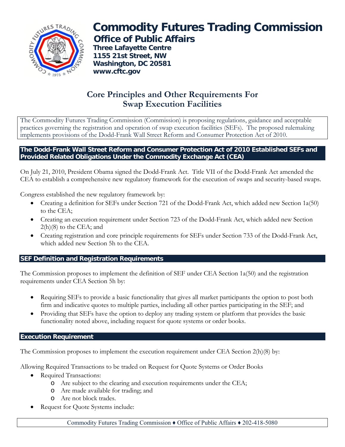

# **Commodity Futures Trading Commission Office of Public Affairs**

 **Three Lafayette Centre 1155 21st Street, NW Washington, DC 20581 www.cftc.gov**

## **Core Principles and Other Requirements For Swap Execution Facilities**

The Commodity Futures Trading Commission (Commission) is proposing regulations, guidance and acceptable practices governing the registration and operation of swap execution facilities (SEFs). The proposed rulemaking implements provisions of the Dodd-Frank Wall Street Reform and Consumer Protection Act of 2010.

#### **The Dodd-Frank Wall Street Reform and Consumer Protection Act of 2010 Established SEFs and Provided Related Obligations Under the Commodity Exchange Act (CEA)**

On July 21, 2010, President Obama signed the Dodd-Frank Act. Title VII of the Dodd-Frank Act amended the CEA to establish a comprehensive new regulatory framework for the execution of swaps and security-based swaps.

Congress established the new regulatory framework by:

- Creating a definition for SEFs under Section 721 of the Dodd-Frank Act, which added new Section 1a(50) to the CEA;
- Creating an execution requirement under Section 723 of the Dodd-Frank Act, which added new Section 2(h)(8) to the CEA; and
- Creating registration and core principle requirements for SEFs under Section 733 of the Dodd-Frank Act, which added new Section 5h to the CEA.

### **SEF Definition and Registration Requirements**

The Commission proposes to implement the definition of SEF under CEA Section 1a(50) and the registration requirements under CEA Section 5h by:

- Requiring SEFs to provide a basic functionality that gives all market participants the option to post both firm and indicative quotes to multiple parties, including all other parties participating in the SEF; and
- Providing that SEFs have the option to deploy any trading system or platform that provides the basic functionality noted above, including request for quote systems or order books.

### **Execution Requirement**

The Commission proposes to implement the execution requirement under CEA Section 2(h)(8) by:

Allowing Required Transactions to be traded on Request for Quote Systems or Order Books

- Required Transactions:
	- o Are subject to the clearing and execution requirements under the CEA;
	- o Are made available for trading; and
	- o Are not block trades.
- Request for Quote Systems include: